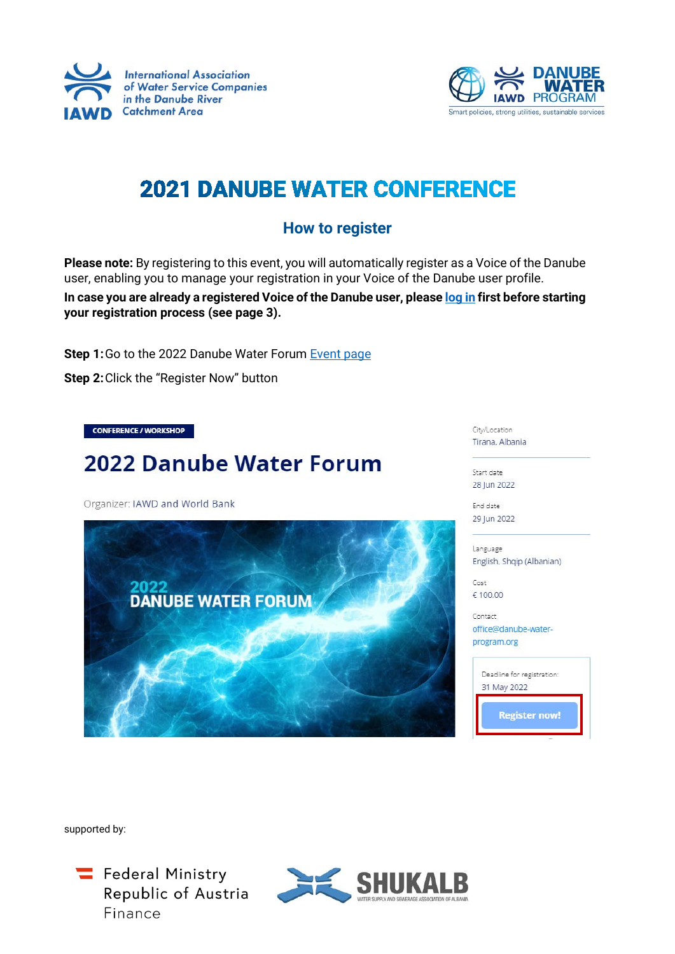



## **2021 DANUBE WATER CONFERENCE**

## **How to register**

**Please note:** By registering to this event, you will automatically register as a Voice of the Danube user, enabling you to manage your registration in your Voice of the Danube user profile.

**In case you are already a registered Voice of the Danube user, please [log in](https://www.iawd.at/#login) first before starting your registration process (see page 3).**

Step 1: Go to the 2022 Danube Water Forum **[Event page](https://www.iawd.at/eng/event/711/details/1/0/0/)** 

**Step 2:**Click the "Register Now" button

**CONFERENCE / WORKSHOP** 

## 2022 Danube Water Forum

Organizer: IAWD and World Bank



City/Location Tirana, Albania

Start date 28 Jun 2022

End date 29 Jun 2022

Language English, Shqip (Albanian)

Cost € 100.00

Contact office@danube-waterprogram.org



supported by:

Federal Ministry Republic of Austria Finance

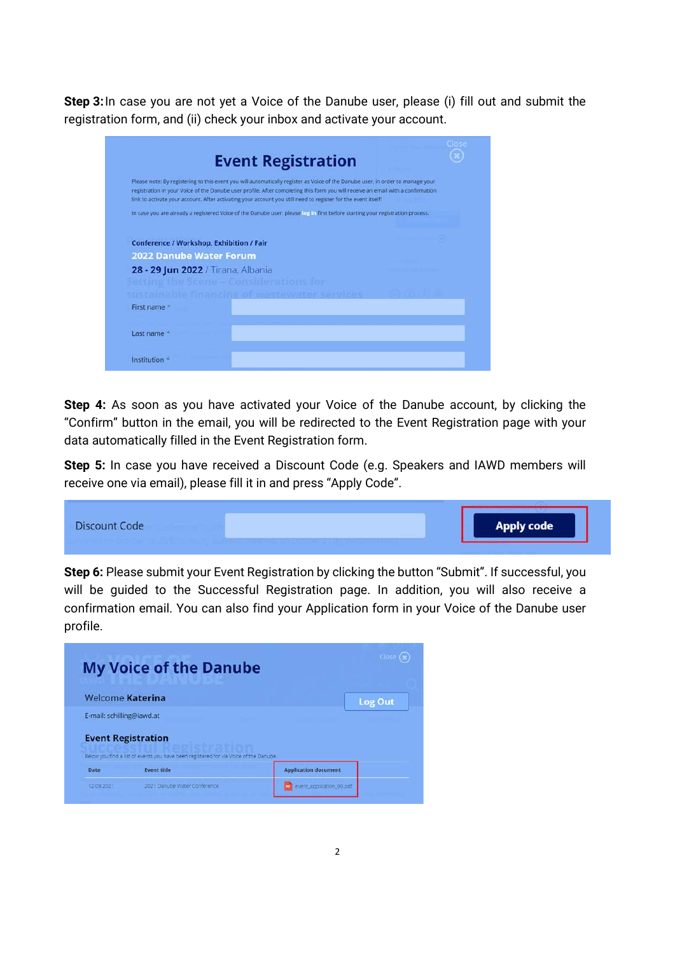**Step 3:**In case you are not yet a Voice of the Danube user, please (i) fill out and submit the registration form, and (ii) check your inbox and activate your account.

| <b>Event Registration</b>                                                                                                                                                                                                                                                                                                                                                          |  |
|------------------------------------------------------------------------------------------------------------------------------------------------------------------------------------------------------------------------------------------------------------------------------------------------------------------------------------------------------------------------------------|--|
| Please note: By registering to this event you will automatically register as Voice of the Danube user, in order to manage your<br>registration in your Voice of the Danube user profile. After completing this form you will receive an email with a confirmation<br>link to activate your account. After activating your account you still need to register for the event itself! |  |
| In case you are already a registered Voice of the Danube user, please log in first before starting your registration process.                                                                                                                                                                                                                                                      |  |
| Conference / Workshop, Exhibition / Fair                                                                                                                                                                                                                                                                                                                                           |  |
| <b>2022 Danube Water Forum</b>                                                                                                                                                                                                                                                                                                                                                     |  |
| 28 - 29 Jun 2022 / Tirana, Albania<br>Setting the Scene - Considerations for                                                                                                                                                                                                                                                                                                       |  |
| sustainable financing of wastewater services                                                                                                                                                                                                                                                                                                                                       |  |
| First name *                                                                                                                                                                                                                                                                                                                                                                       |  |
| Last name *                                                                                                                                                                                                                                                                                                                                                                        |  |
| Institution <sup>*</sup>                                                                                                                                                                                                                                                                                                                                                           |  |

**Step 4:** As soon as you have activated your Voice of the Danube account, by clicking the "Confirm" button in the email, you will be redirected to the Event Registration page with your data automatically filled in the Event Registration form.

**Step 5:** In case you have received a Discount Code (e.g. Speakers and IAWD members will receive one via email), please fill it in and press "Apply Code".



**Step 6:** Please submit your Event Registration by clicking the button "Submit". If successful, you will be guided to the Successful Registration page. In addition, you will also receive a confirmation email. You can also find your Application form in your Voice of the Danube user profile.

|                           | <b>My Voice of the Danube</b>                                                         |                             |                |
|---------------------------|---------------------------------------------------------------------------------------|-----------------------------|----------------|
| <b>Welcome Katerina</b>   |                                                                                       |                             | <b>Log Out</b> |
| E-mail: schilling@iawd.at |                                                                                       |                             |                |
| <b>Event Registration</b> | Below you find a list of events you have been registered for via Voice of the Danube. |                             |                |
|                           |                                                                                       |                             |                |
| Date                      | <b>Event title</b>                                                                    | <b>Application document</b> |                |